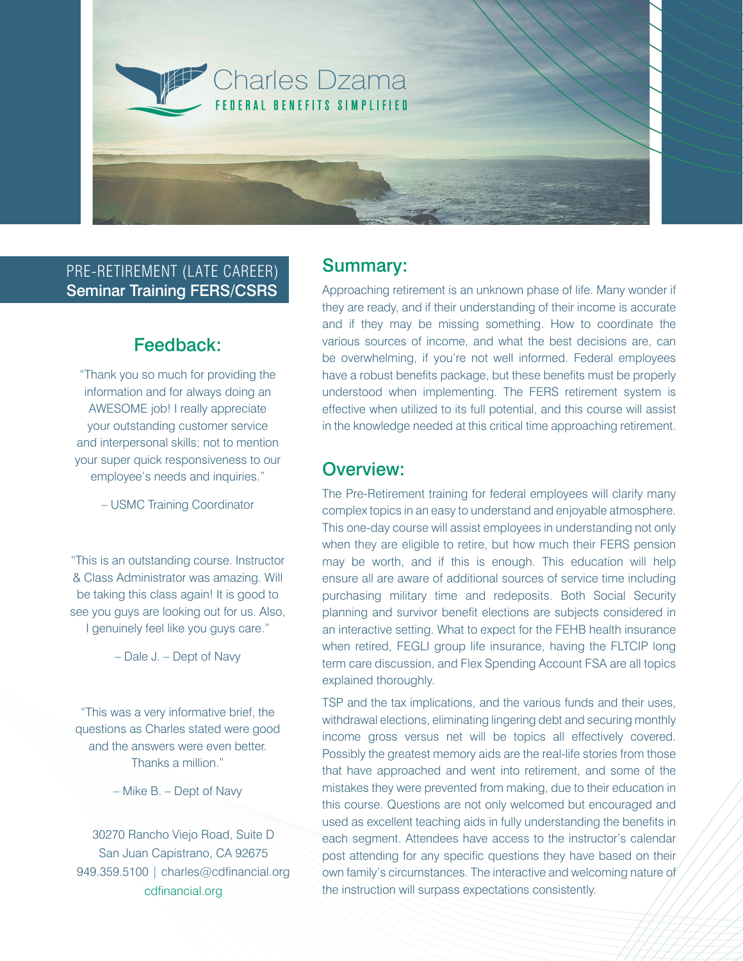

## PRE-RETIREMENT (LATE CAREER) Seminar Training FERS/CSRS

# Feedback:

"Thank you so much for providing the information and for always doing an AWESOME job! I really appreciate your outstanding customer service and interpersonal skills; not to mention your super quick responsiveness to our employee's needs and inquiries."

– USMC Training Coordinator

"This is an outstanding course. Instructor & Class Administrator was amazing. Will be taking this class again! It is good to see you guys are looking out for us. Also, I genuinely feel like you guys care."

– Dale J. – Dept of Navy

"This was a very informative brief, the questions as Charles stated were good and the answers were even better. Thanks a million."

– Mike B. – Dept of Navy

30270 Rancho Viejo Road, Suite D San Juan Capistrano, CA 92675 949.359.5100 | charles@cdfinancial.org cdfinancial.org

## Summary:

Approaching retirement is an unknown phase of life. Many wonder if they are ready, and if their understanding of their income is accurate and if they may be missing something. How to coordinate the various sources of income, and what the best decisions are, can be overwhelming, if you're not well informed. Federal employees have a robust benefits package, but these benefits must be properly understood when implementing. The FERS retirement system is effective when utilized to its full potential, and this course will assist in the knowledge needed at this critical time approaching retirement.

## Overview:

The Pre-Retirement training for federal employees will clarify many complex topics in an easy to understand and enjoyable atmosphere. This one-day course will assist employees in understanding not only when they are eligible to retire, but how much their FERS pension may be worth, and if this is enough. This education will help ensure all are aware of additional sources of service time including purchasing military time and redeposits. Both Social Security planning and survivor benefit elections are subjects considered in an interactive setting. What to expect for the FEHB health insurance when retired, FEGLI group life insurance, having the FLTCIP long term care discussion, and Flex Spending Account FSA are all topics explained thoroughly.

TSP and the tax implications, and the various funds and their uses, withdrawal elections, eliminating lingering debt and securing monthly income gross versus net will be topics all effectively covered. Possibly the greatest memory aids are the real-life stories from those that have approached and went into retirement, and some of the mistakes they were prevented from making, due to their education in this course. Questions are not only welcomed but encouraged and used as excellent teaching aids in fully understanding the benefits in each segment. Attendees have access to the instructor's calendar post attending for any specific questions they have based on their own family's circumstances. The interactive and welcoming nature of the instruction will surpass expectations consistently.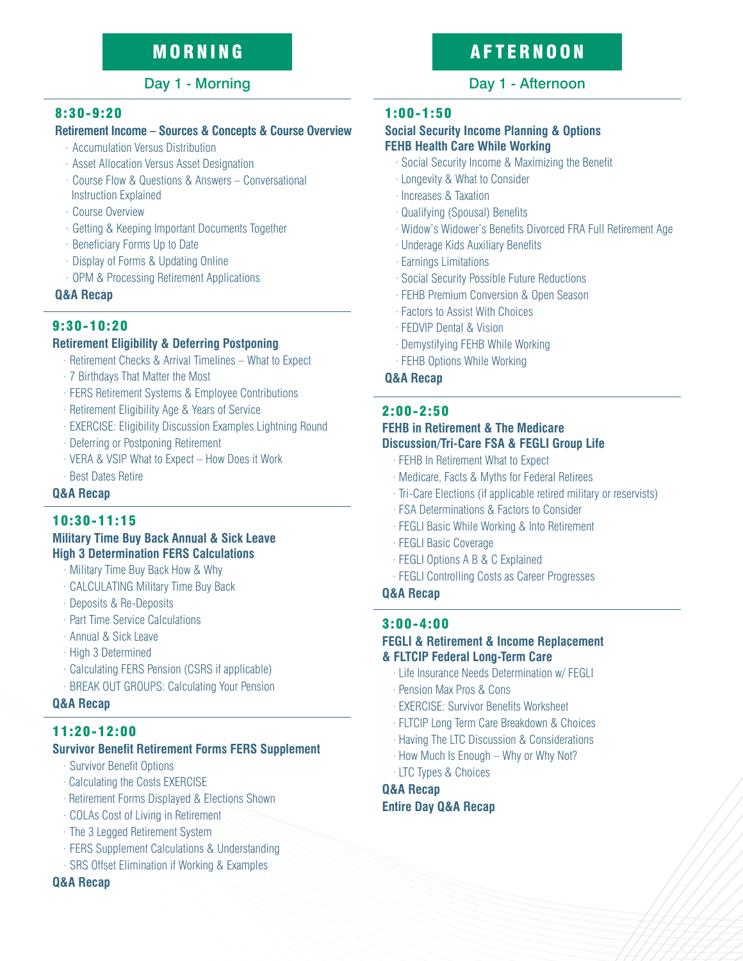## 8:30-9:20

## **Retirement Income – Sources & Concepts & Course Overview**

- · Accumulation Versus Distribution
- · Asset Allocation Versus Asset Designation
- · Course Flow & Questions & Answers Conversational Instruction Explained
- · Course Overview
- · Getting & Keeping Important Documents Together
- · Beneficiary Forms Up to Date
- · Display of Forms & Updating Online
- · OPM & Processing Retirement Applications

## **Q&A Recap**

## 9:30-10:20

## **Retirement Eligibility & Deferring Postponing**

- · Retirement Checks & Arrival Timelines What to Expect
- · 7 Birthdays That Matter the Most
- · FERS Retirement Systems & Employee Contributions
- · Retirement Eligibility Age & Years of Service
- · EXERCISE: Eligibility Discussion Examples Lightning Round
- · Deferring or Postponing Retirement
- · VERA & VSIP What to Expect How Does it Work
- · Best Dates Retire

## **Q&A Recap**

## 10:30-11:15

### **Military Time Buy Back Annual & Sick Leave High 3 Determination FERS Calculations**

- · Military Time Buy Back How & Why
- · CALCULATING Military Time Buy Back
- · Deposits & Re-Deposits
- · Part Time Service Calculations
- · Annual & Sick Leave
- · High 3 Determined
- · Calculating FERS Pension (CSRS if applicable)
- · BREAK OUT GROUPS: Calculating Your Pension

## **Q&A Recap**

## 11:20-12:00

## **Survivor Benefit Retirement Forms FERS Supplement**

- · Survivor Benefit Options
- · Calculating the Costs EXERCISE
- · Retirement Forms Displayed & Elections Shown
- · COLAs Cost of Living in Retirement
- · The 3 Legged Retirement System
- · FERS Supplement Calculations & Understanding
- SRS Offset Elimination if Working & Examples

## **Q&A Recap**

# MORNING AFTERNOON

## Day 1 - Morning Day 1 - Afternoon

## 1:00-1:50

### **Social Security Income Planning & Options FEHB Health Care While Working**

- · Social Security Income & Maximizing the Benefit
- · Longevity & What to Consider
- · Increases & Taxation
- · Qualifying (Spousal) Benefits
- · Widow's Widower's Benefits Divorced FRA Full Retirement Age
- · Underage Kids Auxiliary Benefits
- · Earnings Limitations
- · Social Security Possible Future Reductions
- · FEHB Premium Conversion & Open Season
- · Factors to Assist With Choices
- · FEDVIP Dental & Vision
- · Demystifying FEHB While Working
- · FEHB Options While Working

### **Q&A Recap**

## 2:00-2:50

## **FEHB in Retirement & The Medicare Discussion/Tri-Care FSA & FEGLI Group Life**

- · FEHB In Retirement What to Expect
- · Medicare, Facts & Myths for Federal Retirees
- · Tri-Care Elections (if applicable retired military or reservists)
- · FSA Determinations & Factors to Consider
- · FEGLI Basic While Working & Into Retirement
- · FEGLI Basic Coverage
- · FEGLI Options A B & C Explained
- · FEGLI Controlling Costs as Career Progresses

## **Q&A Recap**

## 3:00-4:00

### **FEGLI & Retirement & Income Replacement & FLTCIP Federal Long-Term Care**

- · Life Insurance Needs Determination w/ FEGLI
- · Pension Max Pros & Cons
- · EXERCISE: Survivor Benefits Worksheet
- · FLTCIP Long Term Care Breakdown & Choices
- · Having The LTC Discussion & Considerations
- · How Much Is Enough Why or Why Not?
- · LTC Types & Choices

## **Q&A Recap Entire Day Q&A Recap**